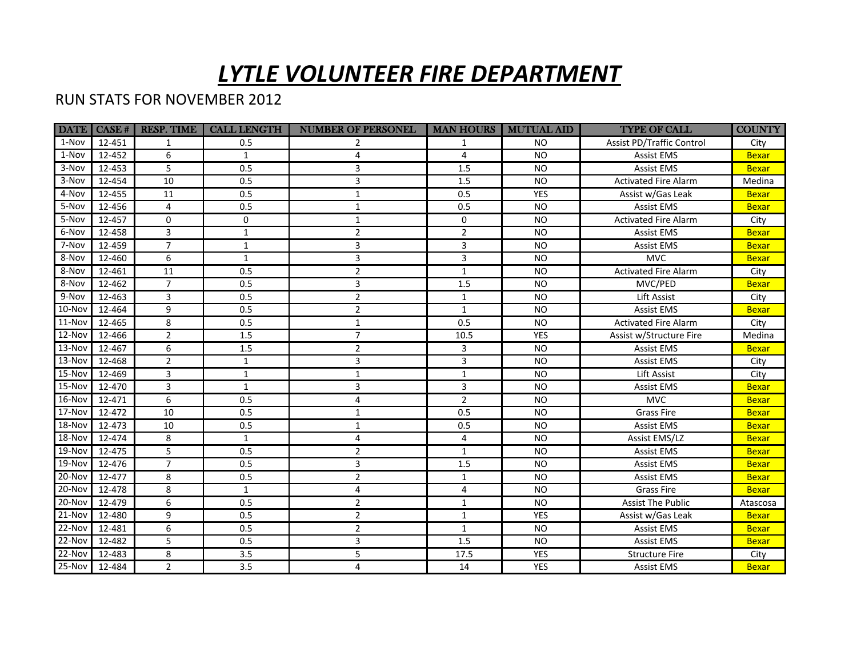## *LYTLE VOLUNTEER FIRE DEPARTMENT*

## RUN STATS FOR NOVEMBER 2012

|                  |        | <b>DATE</b>   CASE #   RESP. TIME | <b>CALL LENGTH</b> | <b>NUMBER OF PERSONEL</b> |                | <b>MAN HOURS   MUTUAL AID</b> | <b>TYPE OF CALL</b>              | <b>COUNTY</b> |
|------------------|--------|-----------------------------------|--------------------|---------------------------|----------------|-------------------------------|----------------------------------|---------------|
| 1-Nov            | 12-451 | 1                                 | 0.5                | 2                         | 1              | <b>NO</b>                     | <b>Assist PD/Traffic Control</b> | City          |
| 1-Nov            | 12-452 | 6                                 | 1                  | 4                         | 4              | <b>NO</b>                     | <b>Assist EMS</b>                | <b>Bexar</b>  |
| 3-Nov            | 12-453 | 5                                 | 0.5                | 3                         | 1.5            | <b>NO</b>                     | <b>Assist EMS</b>                | <b>Bexar</b>  |
| 3-Nov            | 12-454 | $\overline{10}$                   | 0.5                | 3                         | 1.5            | <b>NO</b>                     | <b>Activated Fire Alarm</b>      | Medina        |
| 4-Nov            | 12-455 | 11                                | 0.5                | $\mathbf{1}$              | 0.5            | <b>YES</b>                    | Assist w/Gas Leak                | <b>Bexar</b>  |
| 5-Nov            | 12-456 | $\overline{4}$                    | 0.5                | $\mathbf{1}$              | 0.5            | <b>NO</b>                     | <b>Assist EMS</b>                | <b>Bexar</b>  |
| 5-Nov            | 12-457 | $\pmb{0}$                         | $\mathbf 0$        | $\mathbf{1}$              | 0              | <b>NO</b>                     | <b>Activated Fire Alarm</b>      | City          |
| 6-Nov            | 12-458 | 3                                 | $\mathbf{1}$       | $\overline{2}$            | $\overline{2}$ | <b>NO</b>                     | <b>Assist EMS</b>                | <b>Bexar</b>  |
| 7-Nov            | 12-459 | $\overline{7}$                    | $\mathbf{1}$       | $\overline{3}$            | 3              | <b>NO</b>                     | <b>Assist EMS</b>                | <b>Bexar</b>  |
| 8-Nov            | 12-460 | 6                                 | $\mathbf{1}$       | 3                         | 3              | <b>NO</b>                     | <b>MVC</b>                       | <b>Bexar</b>  |
| 8-Nov            | 12-461 | 11                                | 0.5                | $\overline{2}$            | $\mathbf{1}$   | <b>NO</b>                     | <b>Activated Fire Alarm</b>      | City          |
| 8-Nov            | 12-462 | $\overline{7}$                    | 0.5                | 3                         | 1.5            | <b>NO</b>                     | MVC/PED                          | <b>Bexar</b>  |
| 9-Nov            | 12-463 | $\overline{3}$                    | 0.5                | $\overline{2}$            | $\mathbf{1}$   | <b>NO</b>                     | Lift Assist                      | City          |
| $10$ -Nov        | 12-464 | 9                                 | 0.5                | $\overline{2}$            | $\mathbf{1}$   | <b>NO</b>                     | <b>Assist EMS</b>                | <b>Bexar</b>  |
| $11-Nov$         | 12-465 | $\overline{8}$                    | 0.5                | $\mathbf{1}$              | 0.5            | <b>NO</b>                     | <b>Activated Fire Alarm</b>      | City          |
| 12-Nov           | 12-466 | $\overline{2}$                    | $1.5\,$            | $\overline{7}$            | 10.5           | <b>YES</b>                    | Assist w/Structure Fire          | Medina        |
| $13-Nov$         | 12-467 | 6                                 | 1.5                | $\overline{2}$            | 3              | <b>NO</b>                     | <b>Assist EMS</b>                | <b>Bexar</b>  |
| $13-Nov$         | 12-468 | $\overline{2}$                    | $\mathbf{1}$       | 3                         | 3              | <b>NO</b>                     | <b>Assist EMS</b>                | City          |
| $15-Nov$         | 12-469 | $\overline{3}$                    | $\mathbf{1}$       | $\mathbf{1}$              | $\mathbf{1}$   | <b>NO</b>                     | <b>Lift Assist</b>               | City          |
| $15-Nov$         | 12-470 | $\overline{3}$                    | $\mathbf{1}$       | 3                         | 3              | <b>NO</b>                     | <b>Assist EMS</b>                | <b>Bexar</b>  |
| $16-Nov$         | 12-471 | 6                                 | 0.5                | 4                         | $\overline{2}$ | <b>NO</b>                     | <b>MVC</b>                       | <b>Bexar</b>  |
| $17-Nov$         | 12-472 | 10                                | 0.5                | $\mathbf{1}$              | 0.5            | <b>NO</b>                     | <b>Grass Fire</b>                | <b>Bexar</b>  |
| 18-Nov           | 12-473 | 10                                | 0.5                | $\mathbf{1}$              | 0.5            | <b>NO</b>                     | <b>Assist EMS</b>                | <b>Bexar</b>  |
| <b>18-Nov</b>    | 12-474 | 8                                 | 1                  | 4                         | 4              | <b>NO</b>                     | Assist EMS/LZ                    | <b>Bexar</b>  |
| 19-Nov           | 12-475 | 5                                 | 0.5                | $\overline{2}$            | $\mathbf{1}$   | <b>NO</b>                     | <b>Assist EMS</b>                | <b>Bexar</b>  |
| $19-Nov$         | 12-476 | $\overline{7}$                    | 0.5                | 3                         | 1.5            | <b>NO</b>                     | <b>Assist EMS</b>                | <b>Bexar</b>  |
| $20$ -Nov        | 12-477 | 8                                 | 0.5                | $\overline{2}$            | $\mathbf{1}$   | <b>NO</b>                     | <b>Assist EMS</b>                | <b>Bexar</b>  |
| $20-Nov$         | 12-478 | 8                                 | $\mathbf{1}$       | 4                         | 4              | <b>NO</b>                     | <b>Grass Fire</b>                | <b>Bexar</b>  |
| $20-Nov$         | 12-479 | $\boldsymbol{6}$                  | 0.5                | $\overline{2}$            | $\mathbf{1}$   | <b>NO</b>                     | <b>Assist The Public</b>         | Atascosa      |
| <b>21-Nov</b>    | 12-480 | 9                                 | 0.5                | $\overline{2}$            | $\mathbf{1}$   | <b>YES</b>                    | Assist w/Gas Leak                | <b>Bexar</b>  |
| 22-Nov           | 12-481 | $\boldsymbol{6}$                  | 0.5                | $\overline{2}$            | $\mathbf{1}$   | <b>NO</b>                     | <b>Assist EMS</b>                | <b>Bexar</b>  |
| $\sqrt{2}$ 2-Nov | 12-482 | 5                                 | 0.5                | 3                         | 1.5            | <b>NO</b>                     | <b>Assist EMS</b>                | <b>Bexar</b>  |
| $22-Nov$         | 12-483 | $\overline{8}$                    | $\overline{3.5}$   | 5                         | 17.5           | <b>YES</b>                    | <b>Structure Fire</b>            | City          |
| $25-Nov$         | 12-484 | $\overline{2}$                    | 3.5                | 4                         | 14             | <b>YES</b>                    | <b>Assist EMS</b>                | <b>Bexar</b>  |